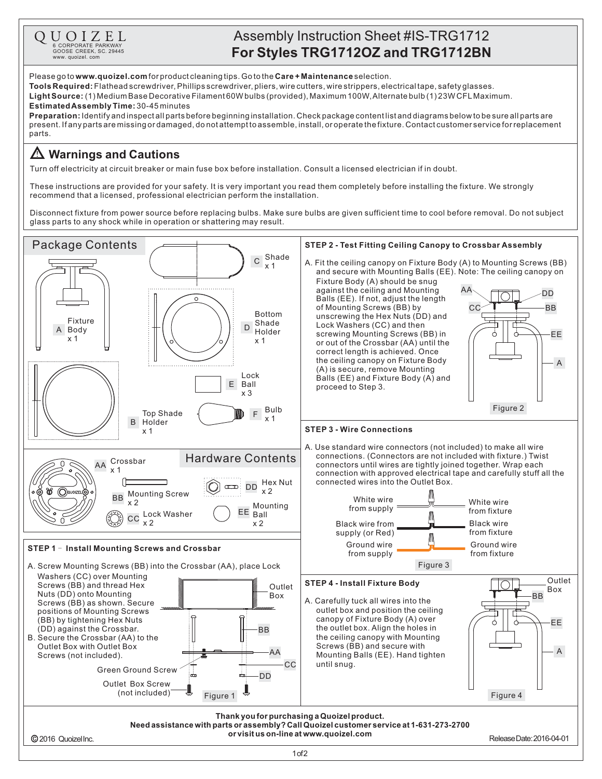

## Assembly Instruction Sheet #IS-TRG1712

Please go to **www.quoizel.com** for product cleaning tips. Go to the **Care + Maintenance** selection.

**Tools Required:** Flathead screwdriver, Phillips screwdriver, pliers, wire cutters, wire strippers, electrical tape, safety glasses.

(1) Medium Base Decorative Filament 60W bulbs (provided), Maximum 100W,Alternate bulb (1) 23W CFLMaximum. **LightSource:** 30-45minutes **EstimatedAssemblyTime:**

**Preparation:** Identify and inspectall parts before beginning installation. Check package content list and diagrams below to be sure all parts are present.Ifanypartsaremissingordamaged,donotattempttoassemble,install,oroperatethefixture.Contactcustomerserviceforreplacement parts.

## **Warnings and Cautions**

Turn off electricity at circuit breaker or main fuse box before installation. Consult a licensed electrician if in doubt.

These instructions are provided for your safety. It is very important you read them completely before installing the fixture. We strongly recommend that a licensed, professional electrician perform the installation.

Disconnect fixture from power source before replacing bulbs. Make sure bulbs are given sufficient time to cool before removal. Do not subject glass parts to any shock while in operation or shattering may result.